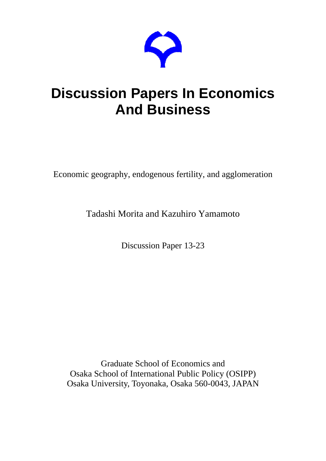

# **Discussion Papers In Economics And Business**

Economic geography, endogenous fertility, and agglomeration

Tadashi Morita and Kazuhiro Yamamoto

Discussion Paper 13-23

Graduate School of Economics and Osaka School of International Public Policy (OSIPP) Osaka University, Toyonaka, Osaka 560-0043, JAPAN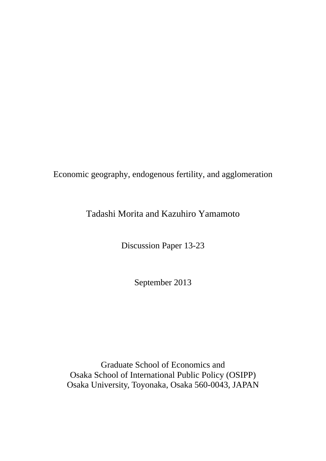Economic geography, endogenous fertility, and agglomeration

## Tadashi Morita and Kazuhiro Yamamoto

Discussion Paper 13-23

September 2013

Graduate School of Economics and Osaka School of International Public Policy (OSIPP) Osaka University, Toyonaka, Osaka 560-0043, JAPAN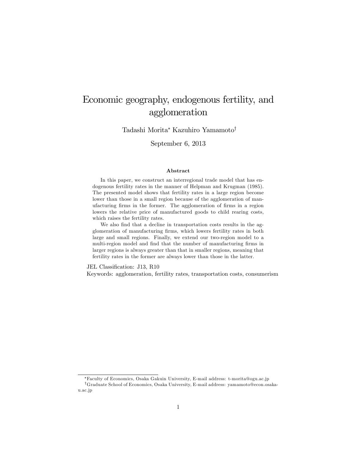# Economic geography, endogenous fertility, and agglomeration

Tadashi Morita\* Kazuhiro Yamamoto<sup>†</sup>

September 6, 2013

#### Abstract

In this paper, we construct an interregional trade model that has endogenous fertility rates in the manner of Helpman and Krugman (1985). The presented model shows that fertility rates in a large region become lower than those in a small region because of the agglomeration of manufacturing firms in the former. The agglomeration of firms in a region lowers the relative price of manufactured goods to child rearing costs, which raises the fertility rates.

We also find that a decline in transportation costs results in the agglomeration of manufacturing Örms, which lowers fertility rates in both large and small regions. Finally, we extend our two-region model to a multi-region model and find that the number of manufacturing firms in larger regions is always greater than that in smaller regions, meaning that fertility rates in the former are always lower than those in the latter.

JEL Classification: J13, R10

Keywords: agglomeration, fertility rates, transportation costs, consumerism

Faculty of Economics, Osaka Gakuin University, E-mail address: t-morita@ogu.ac.jp

yGraduate School of Economics, Osaka University, E-mail address: yamamoto@econ.osakau.ac.jp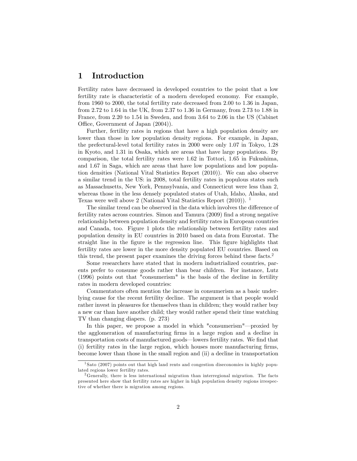#### 1 Introduction

Fertility rates have decreased in developed countries to the point that a low fertility rate is characteristic of a modern developed economy. For example, from 1960 to 2000, the total fertility rate decreased from 2.00 to 1.36 in Japan, from 2.72 to 1.64 in the UK, from 2.37 to 1.36 in Germany, from 2.73 to 1.88 in France, from 2.20 to 1.54 in Sweden, and from 3.64 to 2.06 in the US (Cabinet Office, Government of Japan  $(2004)$ ).

Further, fertility rates in regions that have a high population density are lower than those in low population density regions. For example, in Japan, the prefectural-level total fertility rates in 2000 were only 1.07 in Tokyo, 1.28 in Kyoto, and 1.31 in Osaka, which are areas that have large populations. By comparison, the total fertility rates were 1.62 in Tottori, 1.65 in Fukushima, and 1.67 in Saga, which are areas that have low populations and low population densities (National Vital Statistics Report (2010)). We can also observe a similar trend in the US: in 2008, total fertility rates in populous states such as Massachusetts, New York, Pennsylvania, and Connecticut were less than 2, whereas those in the less densely populated states of Utah, Idaho, Alaska, and Texas were well above 2 (National Vital Statistics Report (2010)). <sup>1</sup>

The similar trend can be observed in the data which involves the difference of fertility rates across countries. Simon and Tamura (2009) find a strong negative relationship between population density and fertility rates in European countries and Canada, too. Figure 1 plots the relationship between fertility rates and population density in EU countries in 2010 based on data from Eurostat. The straight line in the Ögure is the regression line. This Ögure highlights that fertility rates are lower in the more density populated EU countries. Based on this trend, the present paper examines the driving forces behind these facts.<sup>2</sup>

Some researchers have stated that in modern industrialized countries, parents prefer to consume goods rather than bear children. For instance, Lutz (1996) points out that "consumerism" is the basis of the decline in fertility rates in modern developed countries:

Commentators often mention the increase in consumerism as a basic underlying cause for the recent fertility decline. The argument is that people would rather invest in pleasures for themselves than in children; they would rather buy a new car than have another child; they would rather spend their time watching TV than changing diapers. (p. 273)

In this paper, we propose a model in which "consumerism"—proxied by the agglomeration of manufacturing Örms in a large region and a decline in transportation costs of manufactured goods—lowers fertility rates. We find that (i) fertility rates in the large region, which houses more manufacturing Örms, become lower than those in the small region and (ii) a decline in transportation

<sup>1</sup> Sato (2007) points out that high land rents and congestion diseconomies in highly populated regions lower fertility rates.

<sup>&</sup>lt;sup>2</sup>Generally, there is less international migration than interregional migration. The facts presented here show that fertility rates are higher in high population density regions irrespective of whether there is migration among regions.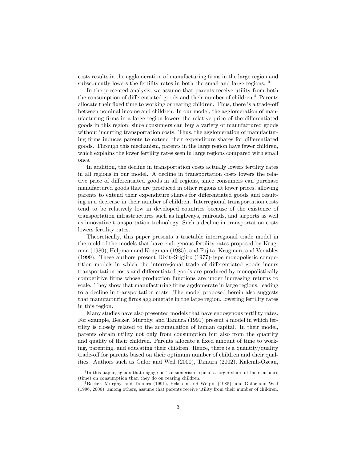costs results in the agglomeration of manufacturing firms in the large region and subsequently lowers the fertility rates in both the small and large regions.<sup>3</sup>

In the presented analysis, we assume that parents receive utility from both the consumption of differentiated goods and their number of children.<sup>4</sup> Parents allocate their fixed time to working or rearing children. Thus, there is a trade-off between nominal income and children. In our model, the agglomeration of manufacturing firms in a large region lowers the relative price of the differentiated goods in this region, since consumers can buy a variety of manufactured goods without incurring transportation costs. Thus, the agglomeration of manufacturing firms induces parents to extend their expenditure shares for differentiated goods. Through this mechanism, parents in the large region have fewer children, which explains the lower fertility rates seen in large regions compared with small ones.

In addition, the decline in transportation costs actually lowers fertility rates in all regions in our model. A decline in transportation costs lowers the relative price of differentiated goods in all regions, since consumers can purchase manufactured goods that are produced in other regions at lower prices, allowing parents to extend their expenditure shares for differentiated goods and resulting in a decrease in their number of children. Interregional transportation costs tend to be relatively low in developed countries because of the existence of transportation infrastructures such as highways, railroads, and airports as well as innovative transportation technology. Such a decline in transportation costs lowers fertility rates.

Theoretically, this paper presents a tractable interregional trade model in the mold of the models that have endogenous fertility rates proposed by Krugman (1980), Helpman and Krugman (1985), and Fujita, Krugman, and Venables  $(1999)$ . These authors present Dixit-Stiglitz  $(1977)$ -type monopolistic competition models in which the interregional trade of differentiated goods incurs transportation costs and differentiated goods are produced by monopolistically competitive firms whose production functions are under increasing returns to scale. They show that manufacturing firms agglomerate in large regions, leading to a decline in transportation costs. The model proposed herein also suggests that manufacturing firms agglomerate in the large region, lowering fertility rates in this region.

Many studies have also presented models that have endogenous fertility rates. For example, Becker, Murphy, and Tamura (1991) present a model in which fertility is closely related to the accumulation of human capital. In their model, parents obtain utility not only from consumption but also from the quantity and quality of their children. Parents allocate a fixed amount of time to working, parenting, and educating their children. Hence, there is a quantity/quality trade-off for parents based on their optimum number of children and their qualities. Authors such as Galor and Weil (2000), Tamura (2002), Kalemli-Ozcan,

 ${}^{3}$ In this paper, agents that engage in "consumerism" spend a larger share of their incomes (time) on consumption than they do on rearing children.

<sup>4</sup> Becker, Murphy, and Tamura (1991), Eckstein and Wolpin (1985), and Galor and Weil (1996, 2000), among others, assume that parents receive utility from their number of children.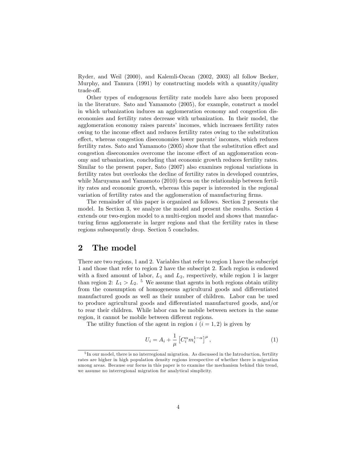Ryder, and Weil (2000), and Kalemli-Ozcan (2002, 2003) all follow Becker, Murphy, and Tamura (1991) by constructing models with a quantity/quality trade-off.

Other types of endogenous fertility rate models have also been proposed in the literature. Sato and Yamamoto (2005), for example, construct a model in which urbanization induces an agglomeration economy and congestion diseconomies and fertility rates decrease with urbanization. In their model, the agglomeration economy raises parents' incomes, which increases fertility rates owing to the income effect and reduces fertility rates owing to the substitution effect, whereas congestion diseconomies lower parents' incomes, which reduces fertility rates. Sato and Yamamoto  $(2005)$  show that the substitution effect and congestion diseconomies overcome the income effect of an agglomeration economy and urbanization, concluding that economic growth reduces fertility rates. Similar to the present paper, Sato (2007) also examines regional variations in fertility rates but overlooks the decline of fertility rates in developed countries, while Maruyama and Yamamoto (2010) focus on the relationship between fertility rates and economic growth, whereas this paper is interested in the regional variation of fertility rates and the agglomeration of manufacturing firms.

The remainder of this paper is organized as follows. Section 2 presents the model. In Section 3, we analyze the model and present the results. Section 4 extends our two-region model to a multi-region model and shows that manufacturing Örms agglomerate in larger regions and that the fertility rates in these regions subsequently drop. Section 5 concludes.

#### 2 The model

There are two regions, 1 and 2. Variables that refer to region 1 have the subscript 1 and those that refer to region 2 have the subscript 2. Each region is endowed with a fixed amount of labor,  $L_1$  and  $L_2$ , respectively, while region 1 is larger than region 2:  $L_1 > L_2$ .<sup>5</sup> We assume that agents in both regions obtain utility from the consumption of homogeneous agricultural goods and differentiated manufactured goods as well as their number of children. Labor can be used to produce agricultural goods and differentiated manufactured goods, and/or to rear their children. While labor can be mobile between sectors in the same region, it cannot be mobile between different regions.

The utility function of the agent in region  $i$   $(i = 1, 2)$  is given by

$$
U_i = A_i + \frac{1}{\mu} \left[ C_i^{\alpha} m_i^{1-\alpha} \right]^{\mu}, \qquad (1)
$$

 ${}^{5}$ In our model, there is no interregional migration. As discussed in the Introduction, fertility rates are higher in high population density regions irrespective of whether there is migration among areas. Because our focus in this paper is to examine the mechanism behind this trend, we assume no interregional migration for analytical simplicity.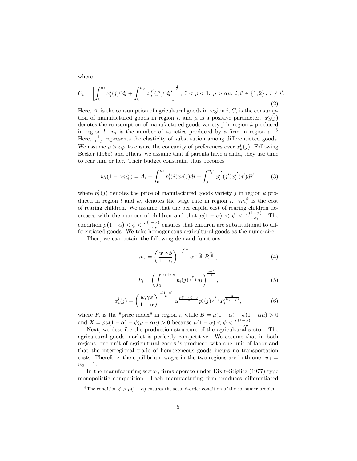where

$$
C_i = \left[ \int_0^{n_i} x_i^i(j)^{\rho} dj + \int_0^{n_{i'}} x_i^{i'}(j')^{\rho} dj' \right]^{\frac{1}{\rho}}, \ 0 < \rho < 1, \ \rho > \alpha \mu, \ i, i' \in \{1, 2\}, \ i \neq i' \tag{2}
$$

:

Here,  $A_i$  is the consumption of agricultural goods in region i,  $C_i$  is the consumption of manufactured goods in region *i*, and  $\mu$  is a positive parameter.  $x_k^l(j)$ denotes the consumption of manufactured goods variety  $j$  in region  $k$  produced in region l.  $n_i$  is the number of varieties produced by a firm in region i. <sup>6</sup> Here,  $\frac{1}{1-\rho}$  represents the elasticity of substitution among differentiated goods. We assume  $\rho > \alpha \mu$  to ensure the concavity of preferences over  $x_k^l(j)$ . Following Becker (1965) and others, we assume that if parents have a child, they use time to rear him or her. Their budget constraint thus becomes

$$
w_i(1 - \gamma m_i^{\phi}) = A_i + \int_0^{n_i} p_i^i(j)x_i(j)dj + \int_0^{n_{i'}} p_i^{i'}(j')x_i^{i'}(j')dj', \qquad (3)
$$

where  $p_k^l(j)$  denotes the price of manufactured goods variety j in region k produced in region l and  $w_i$  denotes the wage rate in region i.  $\gamma m_i^{\phi}$  is the cost of rearing children. We assume that the per capita cost of rearing children decreases with the number of children and that  $\mu(1-\alpha) < \phi < \frac{\mu(1-\alpha)}{1-\alpha\mu}$ . The condition  $\mu(1-\alpha) < \phi < \frac{\mu(1-\alpha)}{1-\alpha\mu}$  ensures that children are substitutional to differentiated goods. We take homogeneous agricultural goods as the numeraire.

Then, we can obtain the following demand functions:

$$
m_i = \left(\frac{w_i \gamma \phi}{1 - \alpha}\right)^{\frac{1 - \alpha \mu}{B}} \alpha^{-\frac{\alpha \mu}{B}} P_i^{\frac{\alpha \mu}{B}},\tag{4}
$$

$$
P_i = \left(\int_0^{n_1 + n_2} p_i(j)^{\frac{\rho}{\rho - 1}} dj\right)^{\frac{\rho - 1}{\rho}}, \tag{5}
$$

$$
x_i^l(j) = \left(\frac{w_i\gamma\phi}{1-\alpha}\right)^{\frac{\mu(1-\alpha)}{B}} \alpha^{\frac{\mu(1-\alpha)-\phi}{B}} p_i^l(j)^{\frac{1}{\rho-1}} P_i^{\frac{X}{B(1-\rho)}},\tag{6}
$$

where  $P_i$  is the "price index" in region i, while  $B = \mu(1 - \alpha) - \phi(1 - \alpha \mu) > 0$ and  $X = \rho \mu (1 - \alpha) - \phi (\rho - \alpha \mu) > 0$  because  $\mu (1 - \alpha) < \phi < \frac{\mu (1 - \alpha)}{1 - \alpha \mu}$ .

Next, we describe the production structure of the agricultural sector. The agricultural goods market is perfectly competitive. We assume that in both regions, one unit of agricultural goods is produced with one unit of labor and that the interregional trade of homogeneous goods incurs no transportation costs. Therefore, the equilibrium wages in the two regions are both one:  $w_1 =$  $w_2 = 1.$ 

In the manufacturing sector, firms operate under Dixit-Stiglitz (1977)-type monopolistic competition. Each manufacturing firm produces differentiated

<sup>&</sup>lt;sup>6</sup>The condition  $\phi > \mu(1-\alpha)$  ensures the second-order condition of the consumer problem.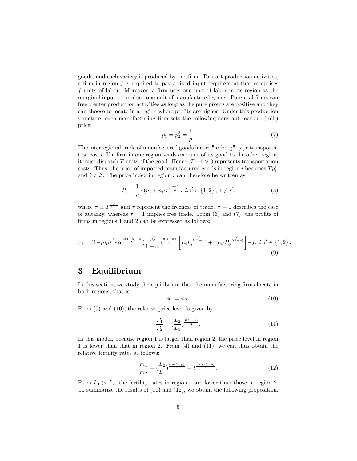goods, and each variety is produced by one firm. To start production activities, a firm in region  $j$  is required to pay a fixed input requirement that comprises f units of labor. Moreover, a firm uses one unit of labor in its region as the marginal input to produce one unit of manufactured goods. Potential firms can freely enter production activities as long as the pure profits are positive and they can choose to locate in a region where profits are higher. Under this production structure, each manufacturing firm sets the following constant markup (mill) price:

$$
p_1^1 = p_2^2 = \frac{1}{\rho}.\tag{7}
$$

The interregional trade of manufactured goods incurs "iceberg"-type transportation costs. If a firm in one region sends one unit of its good to the other region, it must dispatch T units of the good. Hence,  $T-1 > 0$  represents transportation costs. Thus, the price of imported manufactured goods in region *i* becomes  $T p_i^i$ and  $i \neq i'$ . The price index in region i can therefore be written as

$$
P_i = \frac{1}{\rho} \cdot (n_i + n_{i'} \tau)^{\frac{\rho - 1}{\rho}}, \ i, i' \in \{1, 2\}, \ i \neq i', \tag{8}
$$

where  $\tau \equiv T^{\frac{\rho}{\rho-1}}$  and  $\tau$  represent the freeness of trade.  $\tau = 0$  describes the case of autarky, whereas  $\tau = 1$  implies free trade. From (6) and (7), the profits of firms in regions 1 and 2 can be expressed as follows:

$$
\pi_i = (1-\rho)\rho^{\frac{\rho}{1-\rho}}\alpha^{\frac{\mu(1-\alpha)-\phi}{B}}\left(\frac{\gamma\phi}{1-\alpha}\right)^{\frac{\mu(1-\alpha)}{B}}\left[L_i P_i^{\frac{X}{B(1-\rho)}} + \tau L_{i'} P_{i'}^{\frac{X}{B(1-\rho)}}\right] - f, \ i, i' \in \{1, 2\} \,. \tag{9}
$$

#### 3 Equilibrium

In this section, we study the equilibrium that the manufacturing firms locate in both regions, that is

$$
\pi_1 = \pi_2. \tag{10}
$$

From (9) and (10), the relative price level is given by

$$
\frac{P_1}{P_2} = \left(\frac{L_2}{L_1}\right)^{\frac{B(1-\rho)}{X}}.\tag{11}
$$

In this model, because region 1 is larger than region 2, the price level in region 1 is lower than that in region 2. From (4) and (11), we can thus obtain the relative fertility rates as follows:

$$
\frac{m_1}{m_2} = \left(\frac{L_2}{L_1}\right)^{\frac{\alpha \mu (1-\rho)}{X}} = l^{\frac{-\alpha \mu (1-\rho)}{X}}.
$$
\n(12)

From  $L_1 > L_2$ , the fertility rates in region 1 are lower than those in region 2. To summarize the results of (11) and (12), we obtain the following proposition.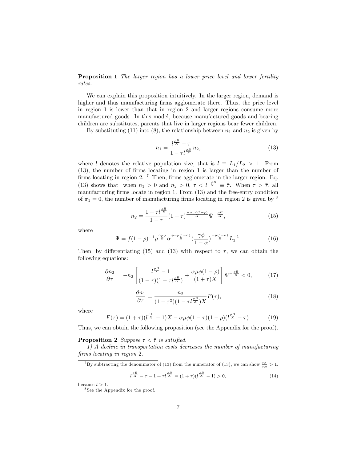Proposition 1 The larger region has a lower price level and lower fertility rates.

We can explain this proposition intuitively. In the larger region, demand is higher and thus manufacturing firms agglomerate there. Thus, the price level in region 1 is lower than that in region 2 and larger regions consume more manufactured goods. In this model, because manufactured goods and bearing children are substitutes, parents that live in larger regions bear fewer children.

By substituting (11) into (8), the relationship between  $n_1$  and  $n_2$  is given by

$$
n_1 = \frac{l^{\frac{\rho B}{X}} - \tau}{1 - \tau l^{\frac{\rho B}{X}}} n_2,
$$
\n(13)

where l denotes the relative population size, that is  $l \equiv L_1/L_2 > 1$ . From (13), the number of Örms locating in region 1 is larger than the number of firms locating in region 2.<sup>7</sup> Then, firms agglomerate in the larger region. Eq. (13) shows that when  $n_1 > 0$  and  $n_2 > 0$ ,  $\tau < l^{\frac{-\rho B}{X}} \equiv \overline{\tau}$ . When  $\tau > \overline{\tau}$ , all manufacturing firms locate in region 1. From  $(13)$  and the free-entry condition of  $\pi_1 = 0$ , the number of manufacturing firms locating in region 2 is given by <sup>8</sup>

$$
n_2 = \frac{1 - \tau l^{\frac{\rho B}{X}}}{1 - \tau} (1 + \tau)^{\frac{-\alpha \mu \phi (1 - \rho)}{X}} \Psi^{-\frac{\rho B}{X}},
$$
(15)

where

$$
\Psi = f(1-\rho)^{-1} \rho^{\frac{\alpha\mu\phi}{B}} \alpha^{\frac{\phi-\mu(1-\alpha)}{B}} \left(\frac{\gamma\phi}{1-\alpha}\right)^{\frac{-\mu(1-\alpha)}{B}} L_2^{-1}.
$$
 (16)

Then, by differentiating (15) and (13) with respect to  $\tau$ , we can obtain the following equations:

$$
\frac{\partial n_2}{\partial \tau} = -n_2 \left[ \frac{l^{\frac{\rho B}{X}} - 1}{(1 - \tau)(1 - \tau l^{\frac{\rho B}{X}})} + \frac{\alpha \mu \phi (1 - \rho)}{(1 + \tau)X} \right] \Psi^{-\frac{\rho B}{X}} < 0,\tag{17}
$$

$$
\frac{\partial n_1}{\partial \tau} = \frac{n_2}{(1 - \tau^2)(1 - \tau l \frac{\rho B}{X})X} F(\tau),\tag{18}
$$

where

$$
F(\tau) = (1+\tau)(l^{\frac{\rho B}{X}} - 1)X - \alpha \mu \phi (1-\tau)(1-\rho)(l^{\frac{\rho B}{X}} - \tau). \tag{19}
$$

Thus, we can obtain the following proposition (see the Appendix for the proof).

#### **Proposition 2** Suppose  $\tau < \overline{\tau}$  is satisfied.

1) A decline in transportation costs decreases the number of manufacturing firms locating in region 2.

<sup>7</sup>By subtracting the denominator of (13) from the numerator of (13), we can show  $\frac{n_1}{n_2} > 1$ .

$$
l^{\frac{\rho B}{X}} - \tau - 1 + \tau l^{\frac{\rho B}{X}} = (1 + \tau)(l^{\frac{\rho B}{X}} - 1) > 0,
$$
\n(14)

because  $l > 1$ .

<sup>8</sup> See the Appendix for the proof.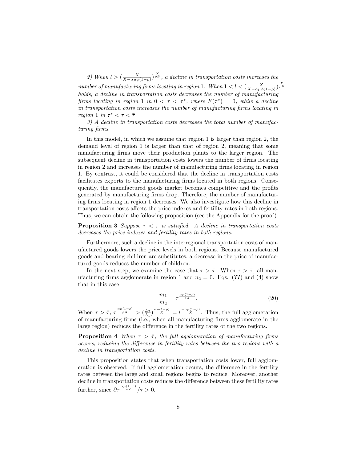2) When  $l > (\frac{X}{X-\alpha\mu\phi(1-\rho)})^{\frac{X}{\rho B}}$ , a decline in transportation costs increases the number of manufacturing firms locating in region 1. When  $1 < l < (\frac{X}{X-\alpha\mu\phi(1-\rho)})^{\frac{X}{\rho B}}$ holds, a decline in transportation costs decreases the number of manufacturing firms locating in region 1 in  $0 < \tau < \tau^*$ , where  $F(\tau^*) = 0$ , while a decline in transportation costs increases the number of manufacturing firms locating in region 1 in  $\tau^* < \tau < \overline{\tau}$ .

3) A decline in transportation costs decreases the total number of manufacturing firms.

In this model, in which we assume that region 1 is larger than region 2, the demand level of region 1 is larger than that of region 2, meaning that some manufacturing Örms move their production plants to the larger region. The subsequent decline in transportation costs lowers the number of firms locating in region 2 and increases the number of manufacturing firms locating in region 1. By contrast, it could be considered that the decline in transportation costs facilitates exports to the manufacturing firms located in both regions. Consequently, the manufactured goods market becomes competitive and the profits generated by manufacturing firms drop. Therefore, the number of manufacturing firms locating in region 1 decreases. We also investigate how this decline in transportation costs affects the price indexes and fertility rates in both regions. Thus, we can obtain the following proposition (see the Appendix for the proof).

**Proposition 3** Suppose  $\tau < \overline{\tau}$  is satisfied. A decline in transportation costs decreases the price indexes and fertility rates in both regions.

Furthermore, such a decline in the interregional transportation costs of manufactured goods lowers the price levels in both regions. Because manufactured goods and bearing children are substitutes, a decrease in the price of manufactured goods reduces the number of children.

In the next step, we examine the case that  $\tau > \overline{\tau}$ . When  $\tau > \overline{\tau}$ , all manufacturing firms agglomerate in region 1 and  $n_2 = 0$ . Eqs. (??) and (4) show that in this case

$$
\frac{m_1}{m_2} = \tau^{\frac{\alpha \mu (1-\rho)}{\rho X}}.\tag{20}
$$

When  $\tau > \overline{\tau}$ ,  $\tau \frac{\alpha \mu (1-\rho)}{\rho X} > \left(\frac{L_2}{L_1}\right)^{\frac{\alpha \mu (1-\rho)}{X}} = l^{\frac{-\alpha \mu (1-\rho)}{X}}$ . Thus, the full agglomeration of manufacturing Örms (i.e., when all manufacturing Örms agglomerate in the large region) reduces the difference in the fertility rates of the two regions.

**Proposition 4** When  $\tau > \overline{\tau}$ , the full agglomeration of manufacturing firms occurs, reducing the difference in fertility rates between the two regions with a decline in transportation costs.

This proposition states that when transportation costs lower, full agglomeration is observed. If full agglomeration occurs, the difference in the fertility rates between the large and small regions begins to reduce. Moreover, another decline in transportation costs reduces the difference between these fertility rates further, since  $\partial \tau \frac{\alpha \mu (1-\rho)}{\rho X}/\tau > 0$ .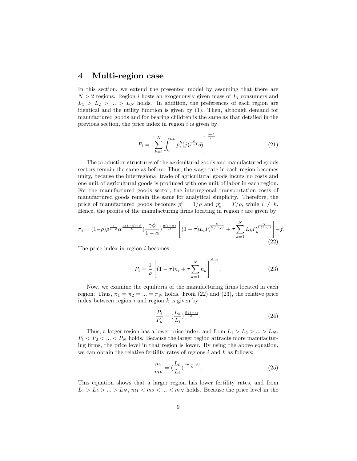#### 4 Multi-region case

In this section, we extend the presented model by assuming that there are  $N > 2$  regions. Region i hosts an exogenously given mass of  $L_i$  consumers and  $L_1 > L_2 > ... > L_N$  holds. In addition, the preferences of each region are identical and the utility function is given by (1). Then, although demand for manufactured goods and for bearing children is the same as that detailed in the previous section, the price index in region  $i$  is given by

$$
P_i = \left[\sum_{k=1}^{N} \int_0^{n_k} p_i^k(j) \frac{\rho}{\rho - 1} dj\right]^{\frac{\rho - 1}{\rho}}.
$$
 (21)

The production structures of the agricultural goods and manufactured goods sectors remain the same as before. Thus, the wage rate in each region becomes unity, because the interregional trade of agricultural goods incurs no costs and one unit of agricultural goods is produced with one unit of labor in each region. For the manufactured goods sector, the interregional transportation costs of manufactured goods remain the same for analytical simplicity. Therefore, the price of manufactured goods becomes  $p_i^i = 1/\rho$  and  $p_k^i = T/\rho$ , while  $i \neq k$ . Hence, the profits of the manufacturing firms locating in region  $i$  are given by

$$
\pi_i = (1-\rho)\rho^{\frac{\rho}{1-\rho}}\alpha^{\frac{\mu(1-\alpha)-\phi}{B}}\left(\frac{\gamma\phi}{1-\alpha}\right)^{\frac{\mu(1-\alpha)}{B}} \left[ (1-\tau)L_i P_i^{\frac{X}{B(1-\rho)}} + \tau \sum_{k=1}^N L_k P_k^{\frac{X}{B(1-\rho)}} \right] - f.
$$
\n(22)

The price index in region i becomes

$$
P_i = \frac{1}{\rho} \left[ (1 - \tau) n_i + \tau \sum_{k=1}^{N} n_k \right]^{\frac{\rho - 1}{\rho}}.
$$
 (23)

Now, we examine the equilibria of the manufacturing firms located in each region. Thus,  $\pi_1 = \pi_2 = ... = \pi_N$  holds. From (22) and (23), the relative price index between region  $i$  and region  $k$  is given by

$$
\frac{P_i}{P_k} = \left(\frac{L_k}{L_i}\right)^{\frac{B(1-\rho)}{X}}.\tag{24}
$$

Thus, a larger region has a lower price index, and from  $L_1 > L_2 > ... > L_N$ ,  $P_1 < P_2 < \ldots < P_N$  holds. Because the larger region attracts more manufacturing firms, the price level in that region is lower. By using the above equation, we can obtain the relative fertility rates of regions  $i$  and  $k$  as follows:

$$
\frac{m_i}{m_k} = \left(\frac{L_k}{L_i}\right)^{\frac{\alpha \mu (1-\rho)}{X}}.\tag{25}
$$

This equation shows that a larger region has lower fertility rates, and from  $L_1 > L_2 > ... > L_N$ ,  $m_1 < m_2 < ... < m_N$  holds. Because the price level in the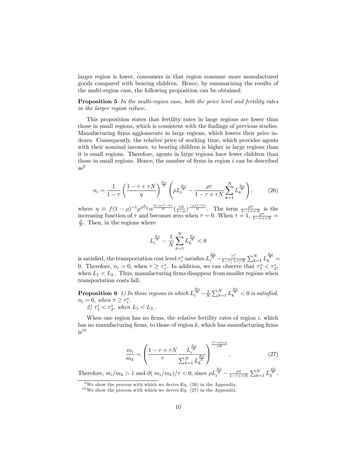larger region is lower, consumers in that region consume more manufactured goods compared with bearing children. Hence, by summarizing the results of the multi-region case, the following proposition can be obtained:

Proposition 5 In the multi-region case, both the price level and fertility rates in the larger region reduce.

This proposition states that fertility rates in large regions are lower than those in small regions, which is consistent with the findings of previous studies. Manufacturing firms agglomerate in large regions, which lowers their price indexes. Consequently, the relative price of working time, which provides agents with their nominal incomes, to bearing children is higher in large regions than it is small regions. Therefore, agents in large regions have fewer children than those in small regions. Hence, the number of firms in region  $i$  can be described  $as<sup>9</sup>$ 

$$
n_{i} = \frac{1}{1-\tau} \left( \frac{1-\tau + \tau N}{\eta} \right)^{\frac{B\rho}{X}} \left( \rho L_{i}^{\frac{B\rho}{X}} - \frac{\rho \tau}{1-\tau + \tau N} \sum_{k=1}^{N} L_{k}^{\frac{B\rho}{X}} \right). \tag{26}
$$

where  $\eta \equiv f(1-\rho)^{-1} \rho^{\frac{\rho}{1-\rho}} \alpha^{\frac{\phi-\mu(1-\alpha)}{B}} (\frac{\gamma \phi}{1-\alpha})^{-\frac{\mu(1-\alpha)}{B}}$ . The term  $\frac{\rho \tau}{1-\tau+\tau N}$  is the increasing function of  $\tau$  and becomes zero when  $\tau = 0$ . When  $\tau = 1$ ,  $\frac{\rho \tau}{1-\tau+\tau N} =$  $\frac{\rho}{N}$ . Then, in the regions where

$$
L_i^{\frac{B\rho}{X}}-\frac{1}{N}\sum_{k=1}^NL_k^{\frac{B\rho}{X}}<0
$$

is satisfied, the transportation cost level  $\tau_i^*$  satisfies  $L_i^{\frac{B_\rho}{i}} - \frac{\tau_i^*}{1 - \tau_i^* + \tau_i^* N} \sum_{k=1}^N L_k^{\frac{B_\rho}{i}} =$ 0. Therefore,  $n_i = 0$ , when  $\tau \geq \tau_i^*$ . In addition, we can observe that  $\tau_1^* < \tau_2^*$ , when  $L_1 < L_2$ . Thus, manufacturing firms disappear from smaller regions when transportation costs fall.

**Proposition 6** 1) In those regions in which  $L_i^{\frac{B\rho}{K}} - \frac{1}{N} \sum_{k=1}^N L_k^{\frac{B\rho}{K}} < 0$  is satisfied,  $n_i = 0$ , when  $\tau \geq \tau_i^*$ . 2)  $\tau_1^* < \tau_2^*$ , when  $L_1 < L_2$ .

When one region has no firms, the relative fertility rates of region  $i$ , which has no manufacturing firms, to those of region  $k$ , which has manufacturing firms  $is^{10}$ 

$$
\frac{m_i}{m_k} = \left(\frac{1 - \tau + \tau N}{\tau} \frac{L_i^{\frac{B\rho}{X}}}{\sum_{k=1}^N L_k^{\frac{B\rho}{X}}}\right)^{\frac{(1-\rho)\alpha\mu}{\rho B}}.
$$
\n(27)

Therefore,  $m_i/m_k > 1$  and  $\partial (m_i/m_k)/\tau < 0$ , since  $\rho L_i^{\frac{B\rho}{X}} - \frac{\rho \tau}{1 - \tau + \tau N} \sum_{k=1}^N L_k^{\frac{B\rho}{X}}$ .

<sup>&</sup>lt;sup>9</sup>We show the process with which we derive Eq.  $(26)$  in the Appendix.

 $10$  We show the process with which we derive Eq. (27) in the Appendix.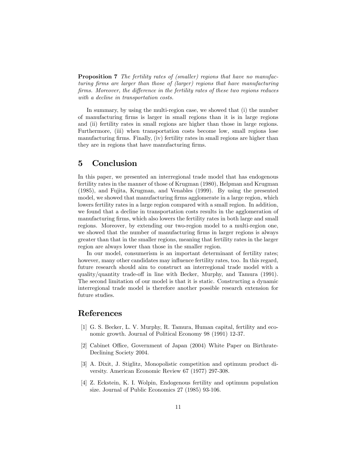**Proposition 7** The fertility rates of (smaller) regions that have no manufacturing firms are larger than those of (larger) regions that have manufacturing firms. Moreover, the difference in the fertility rates of these two regions reduces with a decline in transportation costs.

In summary, by using the multi-region case, we showed that (i) the number of manufacturing Örms is larger in small regions than it is in large regions and (ii) fertility rates in small regions are higher than those in large regions. Furthermore, (iii) when transportation costs become low, small regions lose manufacturing firms. Finally, (iv) fertility rates in small regions are higher than they are in regions that have manufacturing firms.

#### 5 Conclusion

In this paper, we presented an interregional trade model that has endogenous fertility rates in the manner of those of Krugman (1980), Helpman and Krugman (1985), and Fujita, Krugman, and Venables (1999). By using the presented model, we showed that manufacturing firms agglomerate in a large region, which lowers fertility rates in a large region compared with a small region. In addition, we found that a decline in transportation costs results in the agglomeration of manufacturing firms, which also lowers the fertility rates in both large and small regions. Moreover, by extending our two-region model to a multi-region one, we showed that the number of manufacturing firms in larger regions is always greater than that in the smaller regions, meaning that fertility rates in the larger region are always lower than those in the smaller region.

In our model, consumerism is an important determinant of fertility rates; however, many other candidates may influence fertility rates, too. In this regard, future research should aim to construct an interregional trade model with a quality/quantity trade-off in line with Becker, Murphy, and Tamura (1991). The second limitation of our model is that it is static. Constructing a dynamic interregional trade model is therefore another possible research extension for future studies.

#### References

- [1] G. S. Becker, L. V. Murphy, R. Tamura, Human capital, fertility and economic growth. Journal of Political Economy 98 (1991) 12-37.
- [2] Cabinet Office, Government of Japan (2004) White Paper on Birthrate-Declining Society 2004.
- [3] A. Dixit, J. Stiglitz, Monopolistic competition and optimum product diversity. American Economic Review 67 (1977) 297-308.
- [4] Z. Eckstein, K. I. Wolpin, Endogenous fertility and optimum population size. Journal of Public Economics 27 (1985) 93-106.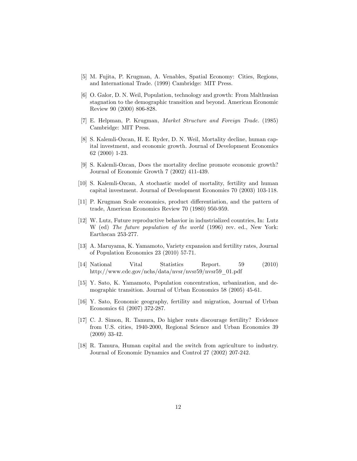- [5] M. Fujita, P. Krugman, A. Venables, Spatial Economy: Cities, Regions, and International Trade. (1999) Cambridge: MIT Press.
- [6] O. Galor, D. N. Weil, Population, technology and growth: From Malthusian stagnation to the demographic transition and beyond. American Economic Review 90 (2000) 806-828.
- [7] E. Helpman, P. Krugman, Market Structure and Foreign Trade. (1985) Cambridge: MIT Press.
- [8] S. Kalemli-Ozcan, H. E. Ryder, D. N. Weil, Mortality decline, human capital investment, and economic growth. Journal of Development Economics 62 (2000) 1-23.
- [9] S. Kalemli-Ozcan, Does the mortality decline promote economic growth? Journal of Economic Growth 7 (2002) 411-439.
- [10] S. Kalemli-Ozcan, A stochastic model of mortality, fertility and human capital investment. Journal of Development Economics 70 (2003) 103-118.
- [11] P. Krugman Scale economics, product differentiation, and the pattern of trade, American Economics Review 70 (1980) 950-959.
- [12] W. Lutz, Future reproductive behavior in industrialized countries, In: Lutz W (ed) The future population of the world (1996) rev. ed., New York: Earthscan 253-277.
- [13] A. Maruyama, K. Yamamoto, Variety expansion and fertility rates, Journal of Population Economics 23 (2010) 57-71.
- [14] National Vital Statistics Report. 59 (2010) http://www.cdc.gov/nchs/data/nvsr/nvsr59/nvsr59\_01.pdf
- [15] Y. Sato, K. Yamamoto, Population concentration, urbanization, and demographic transition. Journal of Urban Economics 58 (2005) 45-61.
- [16] Y. Sato, Economic geography, fertility and migration, Journal of Urban Economics 61 (2007) 372-287.
- [17] C. J. Simon, R. Tamura, Do higher rents discourage fertility? Evidence from U.S. cities, 1940-2000, Regional Science and Urban Economics 39 (2009) 33-42.
- [18] R. Tamura, Human capital and the switch from agriculture to industry. Journal of Economic Dynamics and Control 27 (2002) 207-242.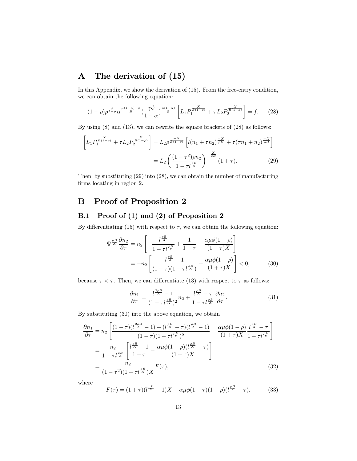## A The derivation of (15)

In this Appendix, we show the derivation of (15). From the free-entry condition, we can obtain the following equation:

$$
(1-\rho)\rho^{\frac{\rho}{1-\rho}}\alpha^{\frac{\mu(1-\alpha)-\phi}{B}}\left(\frac{\gamma\phi}{1-\alpha}\right)^{\frac{\mu(1-\alpha)}{B}}\left[L_1P_1^{\frac{X}{B(1-\rho)}}+\tau L_2P_2^{\frac{X}{B(1-\rho)}}\right]=f.\tag{28}
$$

By using (8) and (13), we can rewrite the square brackets of (28) as follows:

$$
\left[L_1 P_1^{\frac{X}{B(1-\rho)}} + \tau L_2 P_2^{\frac{X}{B(1-\rho)}}\right] = L_2 \rho^{\frac{-X}{B(1-\rho)}} \left[l(n_1 + \tau n_2)^{\frac{-X}{\rho B}} + \tau (\tau n_1 + n_2)^{\frac{-X}{\rho B}}\right]
$$

$$
= L_2 \left(\frac{(1-\tau^2)\rho n_2}{1-\tau l^{\frac{\rho B}{X}}}\right)^{-\frac{X}{\rho B}} (1+\tau).
$$
(29)

Then, by substituting (29) into (28), we can obtain the number of manufacturing firms locating in region 2.

### B Proof of Proposition 2

#### B.1 Proof of (1) and (2) of Proposition 2

By differentiating (15) with respect to  $\tau$ , we can obtain the following equation:

$$
\Psi^{\frac{\rho B}{X}} \frac{\partial n_2}{\partial \tau} = n_2 \left[ -\frac{l^{\frac{\rho B}{X}}}{1 - \tau l^{\frac{\rho B}{X}}} + \frac{1}{1 - \tau} - \frac{\alpha \mu \phi (1 - \rho)}{(1 + \tau)X} \right]
$$
  
= 
$$
-n_2 \left[ \frac{l^{\frac{\rho B}{X}} - 1}{(1 - \tau)(1 - \tau l^{\frac{\rho B}{X}})} + \frac{\alpha \mu \phi (1 - \rho)}{(1 + \tau)X} \right] < 0,
$$
 (30)

because  $\tau < \bar{\tau}$ . Then, we can differentiate (13) with respect to  $\tau$  as follows:

$$
\frac{\partial n_1}{\partial \tau} = \frac{l^{\frac{2\rho B}{X}} - 1}{(1 - \tau l^{\frac{\rho B}{X}})^2} n_2 + \frac{l^{\frac{\rho B}{X}} - \tau}{1 - \tau l^{\frac{\rho B}{X}}} \frac{\partial n_2}{\partial \tau}.
$$
(31)

By substituting (30) into the above equation, we obtain

$$
\frac{\partial n_1}{\partial \tau} = n_2 \left[ \frac{(1-\tau)(l^{\frac{2\rho B}{X}} - 1) - (l^{\frac{\rho B}{X}} - \tau)(l^{\frac{\rho B}{X}} - 1)}{(1-\tau)(1-\tau l^{\frac{\rho B}{X}})^2} - \frac{\alpha \mu \phi (1-\rho)}{(1+\tau)X} \frac{l^{\frac{\rho B}{X}} - \tau}{1-\tau l^{\frac{\rho B}{X}}} \right]
$$

$$
= \frac{n_2}{1-\tau l^{\frac{\rho B}{X}}} \left[ \frac{l^{\frac{\rho B}{X}} - 1}{1-\tau} - \frac{\alpha \mu \phi (1-\rho)(l^{\frac{\rho B}{X}} - \tau)}{(1+\tau)X} \right]
$$

$$
= \frac{n_2}{(1-\tau^2)(1-\tau l^{\frac{\rho B}{X}})X} F(\tau), \tag{32}
$$

where

$$
F(\tau) = (1+\tau)(l^{\frac{\rho B}{X}} - 1)X - \alpha \mu \phi (1-\tau)(1-\rho)(l^{\frac{\rho B}{X}} - \tau). \tag{33}
$$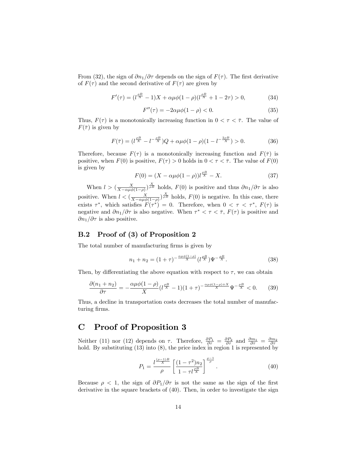From (32), the sign of  $\partial n_1/\partial \tau$  depends on the sign of  $F(\tau)$ . The first derivative of  $F(\tau)$  and the second derivative of  $F(\tau)$  are given by

$$
F'(\tau) = (l^{\frac{\rho B}{X}} - 1)X + \alpha \mu \phi (1 - \rho)(l^{\frac{\rho B}{X}} + 1 - 2\tau) > 0,
$$
 (34)

$$
F''(\tau) = -2\alpha\mu\phi(1-\rho) < 0. \tag{35}
$$

Thus,  $F(\tau)$  is a monotonically increasing function in  $0 < \tau < \overline{\tau}$ . The value of  $F(\bar{\tau})$  is given by

$$
F(\bar{\tau}) = (l^{\frac{\rho B}{X}} - l^{-\frac{\rho B}{X}})Q + \alpha \mu \phi (1 - \rho)(1 - l^{-\frac{2\rho B}{X}}) > 0.
$$
 (36)

Therefore, because  $F(\tau)$  is a monotonically increasing function and  $F(\bar{\tau})$  is positive, when  $F(0)$  is positive,  $F(\tau) > 0$  holds in  $0 < \tau < \overline{\tau}$ . The value of  $F(0)$ is given by

$$
F(0) = (X - \alpha \mu \phi (1 - \rho)) l^{\frac{\rho B}{X}} - X.
$$
 (37)

When  $l > (\frac{X}{X-\alpha\mu\phi(1-\rho)})^{\frac{X}{\rho B}}$  holds,  $F(0)$  is positive and thus  $\partial n_1/\partial \tau$  is also positive. When  $l < (\frac{X}{X-\alpha\mu\phi(1-\rho)})^{\frac{X}{\rho B}}$  holds,  $F(0)$  is negative. In this case, there exists  $\tau^*$ , which satisfies  $F(\tau^*) = 0$ . Therefore, when  $0 < \tau < \tau^*$ ,  $F(\tau)$  is negative and  $\partial n_1/\partial \tau$  is also negative. When  $\tau^* < \tau < \overline{\tau}$ ,  $F(\tau)$  is positive and  $\partial n_1/\partial \tau$  is also positive.

#### B.2 Proof of (3) of Proposition 2

The total number of manufacturing firms is given by

$$
n_1 + n_2 = (1 + \tau)^{-\frac{\alpha \mu \phi (1 - \rho)}{X}} (l^{\frac{\rho B}{X}}) \Psi^{-\frac{\rho B}{X}}.
$$
 (38)

Then, by differentiating the above equation with respect to  $\tau$ , we can obtain

$$
\frac{\partial (n_1 + n_2)}{\partial \tau} = -\frac{\alpha \mu \phi (1 - \rho)}{X} (l^{\frac{\rho B}{X}} - 1)(1 + \tau)^{-\frac{\alpha \mu \phi (1 - \rho) + X}{X}} \Psi^{-\frac{\rho B}{X}} < 0. \tag{39}
$$

Thus, a decline in transportation costs decreases the total number of manufacturing firms.

## C Proof of Proposition 3

Neither (11) nor (12) depends on  $\tau$ . Therefore,  $\frac{\partial P_1}{\partial \tau} = \frac{\partial P_2}{\partial \tau}$  and  $\frac{\partial m_1}{\partial \tau} = \frac{\partial m_2}{\partial \tau}$  hold. By substituting (13) into (8), the price index in region 1 is represented by

$$
P_1 = \frac{l^{\frac{(\rho-1)B}{X}}}{\rho} \left[ \frac{(1-\tau^2)n_2}{1-\tau l^{\frac{\rho B}{X}}} \right]^{\frac{\rho-1}{\rho}}.
$$
\n(40)

Because  $\rho < 1$ , the sign of  $\partial P_1/\partial \tau$  is not the same as the sign of the first derivative in the square brackets of (40). Then, in order to investigate the sign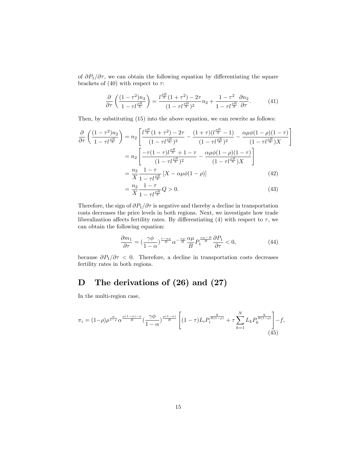of  $\partial P_1/\partial \tau$ , we can obtain the following equation by differentiating the square brackets of (40) with respect to  $\tau$ :

$$
\frac{\partial}{\partial \tau} \left( \frac{(1-\tau^2)n_2}{1-\tau l^{\frac{\rho B}{X}}} \right) = \frac{l^{\frac{\rho B}{X}}(1+\tau^2) - 2\tau}{(1-\tau l^{\frac{\rho B}{X}})^2} n_2 + \frac{1-\tau^2}{1-\tau l^{\frac{\rho B}{X}}} \frac{\partial n_2}{\partial \tau}.
$$
(41)

Then, by substituting (15) into the above equation, we can rewrite as follows:

$$
\frac{\partial}{\partial \tau} \left( \frac{(1-\tau^2)n_2}{1-\tau l^{\frac{B}{X}}} \right) = n_2 \left[ \frac{l^{\frac{\rho B}{X}} (1+\tau^2) - 2\tau}{(1-\tau l^{\frac{\rho B}{X}})^2} - \frac{(1+\tau)(l^{\frac{\rho B}{X}}-1)}{(1-\tau l^{\frac{\rho B}{X}})^2} - \frac{\alpha \mu \phi (1-\rho)(1-\tau)}{(1-\tau l^{\frac{\rho B}{X}})X} \right]
$$

$$
= n_2 \left[ \frac{-\tau (1-\tau)l^{\frac{\rho B}{X}} + 1 - \tau}{(1-\tau l^{\frac{\rho B}{X}})^2} - \frac{\alpha \mu \phi (1-\rho)(1-\tau)}{(1-\tau l^{\frac{\rho B}{X}})X} \right]
$$

$$
= \frac{n_2}{X} \frac{1-\tau}{1-\tau l^{\frac{\rho B}{X}}}[X - \alpha \mu \phi (1-\rho)] \tag{42}
$$

$$
= \frac{n_2}{X} \frac{1-\tau}{1-\tau l^{\frac{\rho B}{X}}} Q > 0. \tag{43}
$$

$$
=\frac{n_2}{X}\frac{1-\tau}{1-\tau l^{\frac{\rho B}{X}}}Q>0.\tag{43}
$$

Therefore, the sign of  $\partial P_1/\partial \tau$  is negative and thereby a decline in transportation costs decreases the price levels in both regions. Next, we investigate how trade liberalization affects fertility rates. By differentiating (4) with respect to  $\tau$ , we can obtain the following equation:

$$
\frac{\partial m_1}{\partial \tau} = \left(\frac{\gamma \phi}{1 - \alpha}\right)^{\frac{1 - \alpha \mu}{B}} \alpha^{-\frac{\alpha \mu}{B}} \frac{\alpha \mu}{B} P_1^{\frac{\alpha \mu - B}{B}} \frac{\partial P_1}{\partial \tau} < 0,\tag{44}
$$

because  $\partial P_1/\partial \tau < 0$ . Therefore, a decline in transportation costs decreases fertility rates in both regions.

# D The derivations of (26) and (27)

In the multi-region case,

$$
\pi_i = (1-\rho)\rho^{\frac{\rho}{1-\rho}}\alpha^{\frac{\mu(1-\alpha)-\phi}{B}}\left(\frac{\gamma\phi}{1-\alpha}\right)^{\frac{\mu(1-\alpha)}{B}}\left[(1-\tau)L_iP_i^{\frac{X}{B(1-\rho)}} + \tau\sum_{k=1}^N L_kP_k^{\frac{X}{B(1-\rho)}}\right] - f,
$$
\n(45)